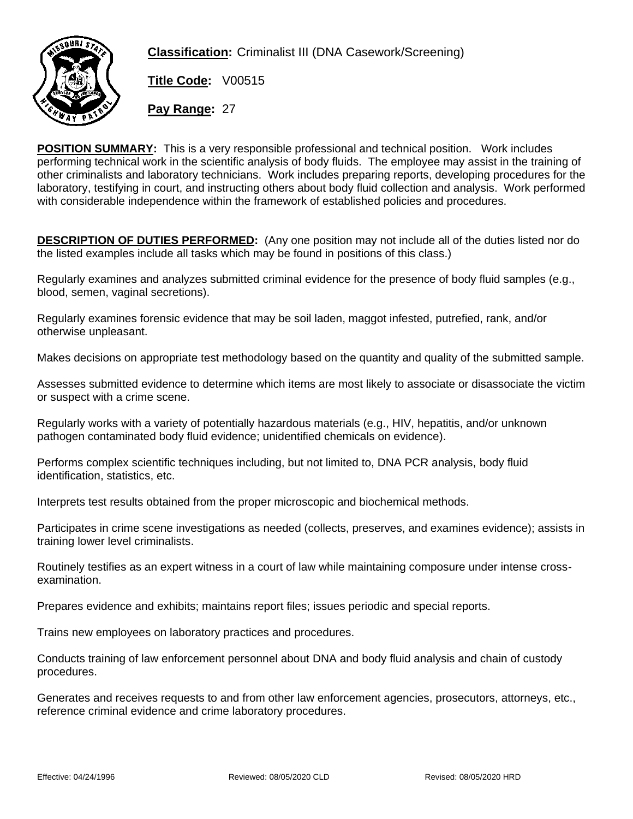

**Classification:** Criminalist III (DNA Casework/Screening)

**Title Code:** V00515 **Pay Range:** 27

**POSITION SUMMARY: This is a very responsible professional and technical position. Work includes performing technical work in the scientific analysis of body fluids. The employee may assist in the training of other criminalists and laboratory technicians. Work includes preparing reports, developing procedures for the laboratory, testifying in court, and instructing others about body fluid collection and analysis. Work performed with considerable independence within the framework of established policies and procedures.**

**DESCRIPTION OF DUTIES PERFORMED:** (Any one position may not include all of the duties listed nor do the listed examples include all tasks which may be found in positions of this class.)

Regularly examines and analyzes submitted criminal evidence for the presence of body fluid samples (e.g., blood, semen, vaginal secretions).

Regularly examines forensic evidence that may be soil laden, maggot infested, putrefied, rank, and/or otherwise unpleasant.

Makes decisions on appropriate test methodology based on the quantity and quality of the submitted sample.

Assesses submitted evidence to determine which items are most likely to associate or disassociate the victim or suspect with a crime scene.

Regularly works with a variety of potentially hazardous materials (e.g., HIV, hepatitis, and/or unknown pathogen contaminated body fluid evidence; unidentified chemicals on evidence).

Performs complex scientific techniques including, but not limited to, DNA PCR analysis, body fluid identification, statistics, etc.

Interprets test results obtained from the proper microscopic and biochemical methods.

Participates in crime scene investigations as needed (collects, preserves, and examines evidence); assists in training lower level criminalists.

Routinely testifies as an expert witness in a court of law while maintaining composure under intense crossexamination.

Prepares evidence and exhibits; maintains report files; issues periodic and special reports.

Trains new employees on laboratory practices and procedures.

Conducts training of law enforcement personnel about DNA and body fluid analysis and chain of custody procedures.

Generates and receives requests to and from other law enforcement agencies, prosecutors, attorneys, etc., reference criminal evidence and crime laboratory procedures.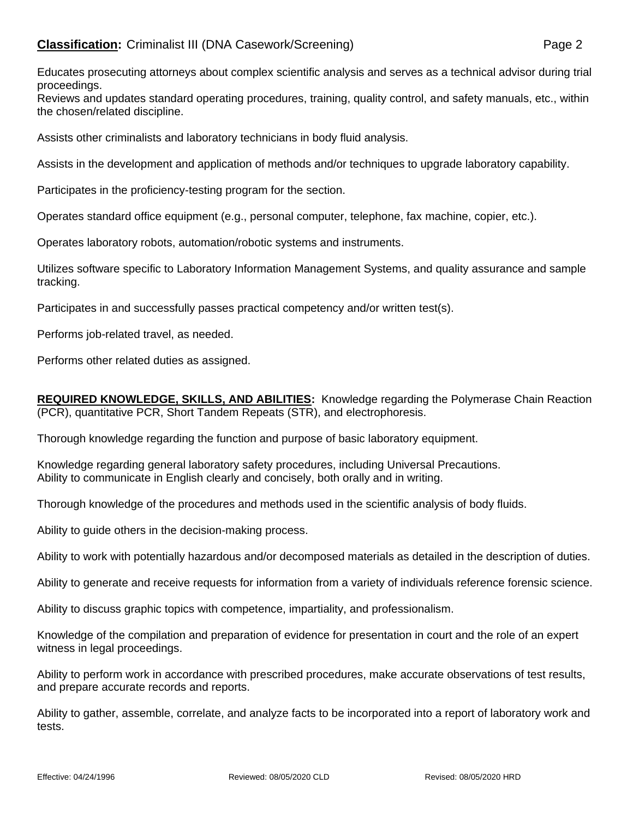Educates prosecuting attorneys about complex scientific analysis and serves as a technical advisor during trial proceedings.

Reviews and updates standard operating procedures, training, quality control, and safety manuals, etc., within the chosen/related discipline.

Assists other criminalists and laboratory technicians in body fluid analysis.

Assists in the development and application of methods and/or techniques to upgrade laboratory capability.

Participates in the proficiency-testing program for the section.

Operates standard office equipment (e.g., personal computer, telephone, fax machine, copier, etc.).

Operates laboratory robots, automation/robotic systems and instruments.

Utilizes software specific to Laboratory Information Management Systems, and quality assurance and sample tracking.

Participates in and successfully passes practical competency and/or written test(s).

Performs job-related travel, as needed.

Performs other related duties as assigned.

**REQUIRED KNOWLEDGE, SKILLS, AND ABILITIES:** Knowledge regarding the Polymerase Chain Reaction (PCR), quantitative PCR, Short Tandem Repeats (STR), and electrophoresis.

Thorough knowledge regarding the function and purpose of basic laboratory equipment.

Knowledge regarding general laboratory safety procedures, including Universal Precautions. Ability to communicate in English clearly and concisely, both orally and in writing.

Thorough knowledge of the procedures and methods used in the scientific analysis of body fluids.

Ability to guide others in the decision-making process.

Ability to work with potentially hazardous and/or decomposed materials as detailed in the description of duties.

Ability to generate and receive requests for information from a variety of individuals reference forensic science.

Ability to discuss graphic topics with competence, impartiality, and professionalism.

Knowledge of the compilation and preparation of evidence for presentation in court and the role of an expert witness in legal proceedings.

Ability to perform work in accordance with prescribed procedures, make accurate observations of test results, and prepare accurate records and reports.

Ability to gather, assemble, correlate, and analyze facts to be incorporated into a report of laboratory work and tests.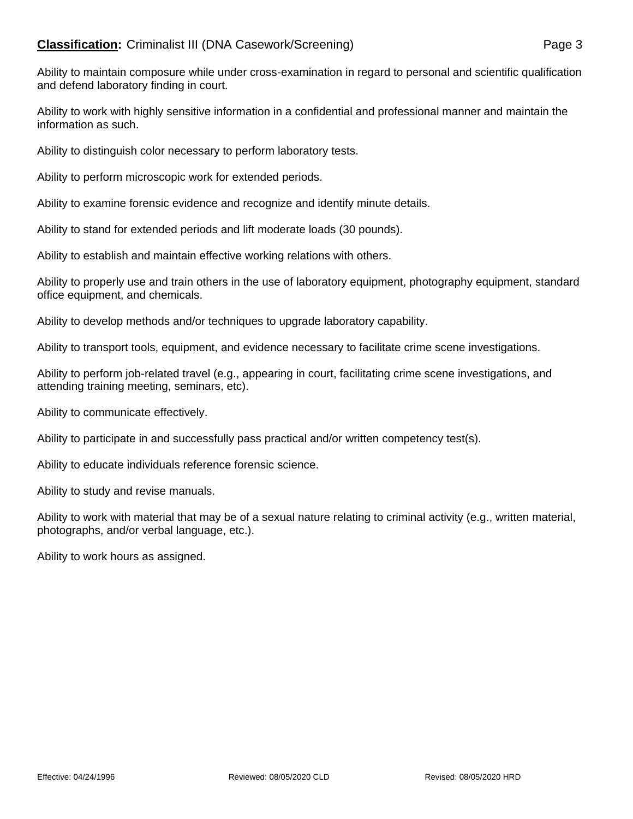Ability to maintain composure while under cross-examination in regard to personal and scientific qualification and defend laboratory finding in court.

Ability to work with highly sensitive information in a confidential and professional manner and maintain the information as such.

Ability to distinguish color necessary to perform laboratory tests.

Ability to perform microscopic work for extended periods.

Ability to examine forensic evidence and recognize and identify minute details.

Ability to stand for extended periods and lift moderate loads (30 pounds).

Ability to establish and maintain effective working relations with others.

Ability to properly use and train others in the use of laboratory equipment, photography equipment, standard office equipment, and chemicals.

Ability to develop methods and/or techniques to upgrade laboratory capability.

Ability to transport tools, equipment, and evidence necessary to facilitate crime scene investigations.

Ability to perform job-related travel (e.g., appearing in court, facilitating crime scene investigations, and attending training meeting, seminars, etc).

Ability to communicate effectively.

Ability to participate in and successfully pass practical and/or written competency test(s).

Ability to educate individuals reference forensic science.

Ability to study and revise manuals.

Ability to work with material that may be of a sexual nature relating to criminal activity (e.g., written material, photographs, and/or verbal language, etc.).

Ability to work hours as assigned.